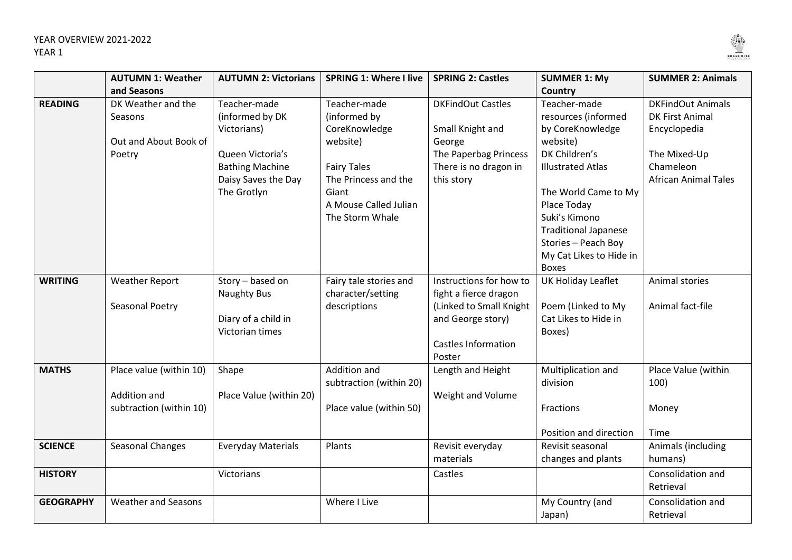

|                  | <b>AUTUMN 1: Weather</b>   | <b>AUTUMN 2: Victorians</b> | <b>SPRING 1: Where I live</b> | <b>SPRING 2: Castles</b>   | <b>SUMMER 1: My</b>            | <b>SUMMER 2: Animals</b>    |
|------------------|----------------------------|-----------------------------|-------------------------------|----------------------------|--------------------------------|-----------------------------|
|                  | and Seasons                |                             |                               |                            | Country                        |                             |
| <b>READING</b>   | DK Weather and the         | Teacher-made                | Teacher-made                  | <b>DKFindOut Castles</b>   | Teacher-made                   | <b>DKFindOut Animals</b>    |
|                  | Seasons                    | (informed by DK             | (informed by                  |                            | resources (informed            | <b>DK First Animal</b>      |
|                  |                            | Victorians)                 | CoreKnowledge                 | Small Knight and           | by CoreKnowledge               | Encyclopedia                |
|                  | Out and About Book of      |                             | website)                      | George                     | website)                       |                             |
|                  | Poetry                     | Queen Victoria's            |                               | The Paperbag Princess      | DK Children's                  | The Mixed-Up                |
|                  |                            | <b>Bathing Machine</b>      | <b>Fairy Tales</b>            | There is no dragon in      | <b>Illustrated Atlas</b>       | Chameleon                   |
|                  |                            | Daisy Saves the Day         | The Princess and the          | this story                 |                                | <b>African Animal Tales</b> |
|                  |                            | The Grotlyn                 | Giant                         |                            | The World Came to My           |                             |
|                  |                            |                             | A Mouse Called Julian         |                            | Place Today                    |                             |
|                  |                            |                             | The Storm Whale               |                            | Suki's Kimono                  |                             |
|                  |                            |                             |                               |                            | <b>Traditional Japanese</b>    |                             |
|                  |                            |                             |                               |                            | Stories - Peach Boy            |                             |
|                  |                            |                             |                               |                            | My Cat Likes to Hide in        |                             |
|                  |                            |                             |                               |                            | <b>Boxes</b>                   |                             |
| <b>WRITING</b>   | <b>Weather Report</b>      | Story - based on            | Fairy tale stories and        | Instructions for how to    | UK Holiday Leaflet             | Animal stories              |
|                  |                            | <b>Naughty Bus</b>          | character/setting             | fight a fierce dragon      |                                |                             |
|                  | Seasonal Poetry            |                             | descriptions                  | (Linked to Small Knight    | Poem (Linked to My             | Animal fact-file            |
|                  |                            | Diary of a child in         |                               | and George story)          | Cat Likes to Hide in           |                             |
|                  |                            | Victorian times             |                               |                            | Boxes)                         |                             |
|                  |                            |                             |                               | <b>Castles Information</b> |                                |                             |
|                  |                            |                             | Addition and                  | Poster                     |                                |                             |
| <b>MATHS</b>     | Place value (within 10)    | Shape                       |                               | Length and Height          | Multiplication and<br>division | Place Value (within         |
|                  | Addition and               | Place Value (within 20)     | subtraction (within 20)       | Weight and Volume          |                                | 100)                        |
|                  | subtraction (within 10)    |                             | Place value (within 50)       |                            | Fractions                      | Money                       |
|                  |                            |                             |                               |                            |                                |                             |
|                  |                            |                             |                               |                            | Position and direction         | Time                        |
| <b>SCIENCE</b>   | Seasonal Changes           | <b>Everyday Materials</b>   | Plants                        | Revisit everyday           | Revisit seasonal               | Animals (including          |
|                  |                            |                             |                               | materials                  | changes and plants             | humans)                     |
| <b>HISTORY</b>   |                            | Victorians                  |                               | Castles                    |                                | Consolidation and           |
|                  |                            |                             |                               |                            |                                | Retrieval                   |
| <b>GEOGRAPHY</b> | <b>Weather and Seasons</b> |                             | Where I Live                  |                            | My Country (and                | Consolidation and           |
|                  |                            |                             |                               |                            | Japan)                         | Retrieval                   |